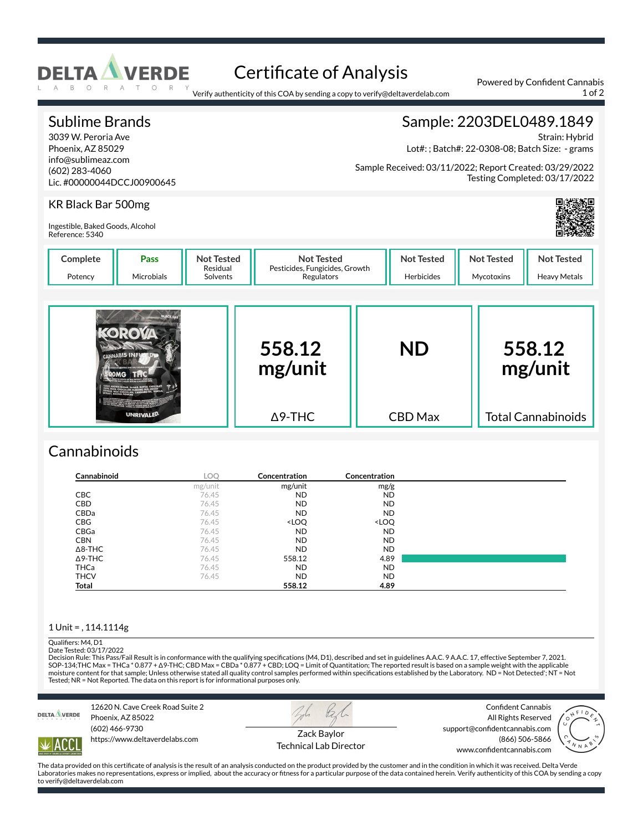

# Certificate of Analysis

Verify authenticity of this COA by sending a copy to verify@deltaverdelab.com

Total Cannabinoids

#### Sublime Brands 3039 W. Peroria Ave Phoenix, AZ 85029 info@sublimeaz.com (602) 283-4060 Lic. #00000044DCCJ00900645 Sample: 2203DEL0489.1849 Strain: Hybrid Lot#: ; Batch#: 22-0308-08; Batch Size: - grams Sample Received: 03/11/2022; Report Created: 03/29/2022 Testing Completed: 03/17/2022 KR Black Bar 500mg Ingestible, Baked Goods, Alcohol Reference: 5340 **Complete** Potency **Pass** Microbials **Not Tested** Residual Solvents **Not Tested** Pesticides, Fungicides, Growth **Regulators Not Tested** Herbicides **Not Tested** Mycotoxins **Not Tested** Heavy Metals **558.12 mg/unit ND 558.12 mg/unit**

| Cannabinoids |  |
|--------------|--|

**UNRIVALED** 

| Cannabinoid    | <b>LOO</b> | <b>Concentration</b>                                     | Concentration                |  |
|----------------|------------|----------------------------------------------------------|------------------------------|--|
|                | mg/unit    | mg/unit                                                  | mg/g                         |  |
| CBC            | 76.45      | <b>ND</b>                                                | <b>ND</b>                    |  |
| CBD            | 76.45      | <b>ND</b>                                                | <b>ND</b>                    |  |
| CBDa           | 76.45      | <b>ND</b>                                                | <b>ND</b>                    |  |
| <b>CBG</b>     | 76.45      | <loq< td=""><td><loq< td=""><td></td></loq<></td></loq<> | <loq< td=""><td></td></loq<> |  |
| CBGa           | 76.45      | <b>ND</b>                                                | <b>ND</b>                    |  |
| <b>CBN</b>     | 76.45      | <b>ND</b>                                                | <b>ND</b>                    |  |
| $\Delta$ 8-THC | 76.45      | <b>ND</b>                                                | <b>ND</b>                    |  |
| $\Delta$ 9-THC | 76.45      | 558.12                                                   | 4.89                         |  |
| <b>THCa</b>    | 76.45      | <b>ND</b>                                                | <b>ND</b>                    |  |
| <b>THCV</b>    | 76.45      | <b>ND</b>                                                | <b>ND</b>                    |  |
| Total          |            | 558.12                                                   | 4.89                         |  |

CBD Max

Δ9-THC

### 1 Unit = , 114.1114g

## Qualifiers: M4, D1

Date Tested: 03/17/2022

Decision Rule: This Pass/Fail Result is in conformance with the qualifying specifications (M4, D1), described and set in guidelines A.A.C. 9 A.A.C. 17, effective September 7, 2021.<br>SOP-134;THC Max = THCa \* 0.877 + Δ9-THC; Tested; NR = Not Reported. The data on this report is for informational purposes only.



IACC

12620 N. Cave Creek Road Suite 2 Phoenix, AZ 85022 (602) 466-9730 https://www.deltaverdelabs.com



Technical Lab Director

Confident Cannabis All Rights Reserved support@confidentcannabis.com (866) 506-5866



The data provided on this certificate of analysis is the result of an analysis conducted on the product provided by the customer and in the condition in which it was received. Delta Verde Laboratories makes no representations, express or implied, about the accuracy or fitness for a particular purpose of the data contained herein. Verify authenticity of this COA by sending a copy to verify@deltaverdelab.com